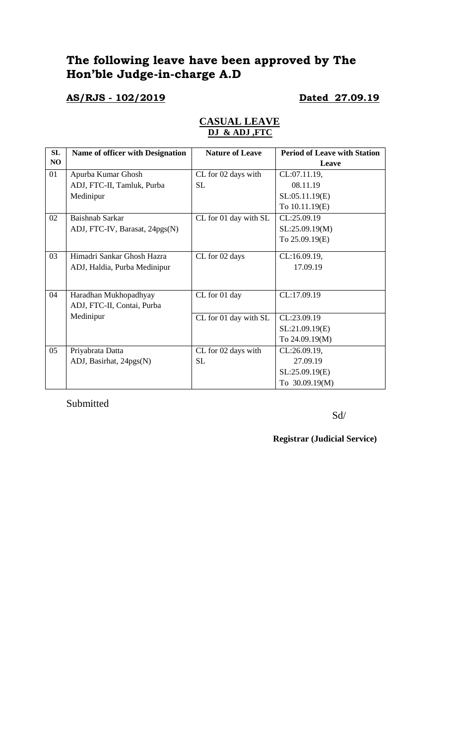# **The following leave have been approved by The Hon'ble Judge-in-charge A.D**

### **AS/RJS - 102/2019 Dated 27.09.19**

| SL | <b>Name of officer with Designation</b> | <b>Nature of Leave</b> | <b>Period of Leave with Station</b> |
|----|-----------------------------------------|------------------------|-------------------------------------|
| NO |                                         |                        | Leave                               |
| 01 | Apurba Kumar Ghosh                      | CL for 02 days with    | CL:07.11.19,                        |
|    | ADJ, FTC-II, Tamluk, Purba              | <b>SL</b>              | 08.11.19                            |
|    | Medinipur                               |                        | SL:05.11.19(E)                      |
|    |                                         |                        | To 10.11.19(E)                      |
| 02 | Baishnab Sarkar                         | CL for 01 day with SL  | CL:25.09.19                         |
|    | ADJ, FTC-IV, Barasat, 24pgs(N)          |                        | SL:25.09.19(M)                      |
|    |                                         |                        | To 25.09.19(E)                      |
| 03 | Himadri Sankar Ghosh Hazra              | CL for 02 days         | CL:16.09.19,                        |
|    |                                         |                        | 17.09.19                            |
|    | ADJ, Haldia, Purba Medinipur            |                        |                                     |
|    |                                         |                        |                                     |
| 04 | Haradhan Mukhopadhyay                   | CL for 01 day          | CL:17.09.19                         |
|    | ADJ, FTC-II, Contai, Purba              |                        |                                     |
|    | Medinipur                               | CL for 01 day with SL  | CL:23.09.19                         |
|    |                                         |                        | SL:21.09.19(E)                      |
|    |                                         |                        | To 24.09.19(M)                      |
| 05 | Priyabrata Datta                        | CL for 02 days with    | CL:26.09.19,                        |
|    | ADJ, Basirhat, 24pgs(N)                 | <b>SL</b>              | 27.09.19                            |
|    |                                         |                        | SL:25.09.19(E)                      |
|    |                                         |                        | To 30.09.19(M)                      |

### **CASUAL LEAVE DJ & ADJ ,FTC**

Submitted

Sd/

**Registrar (Judicial Service)**